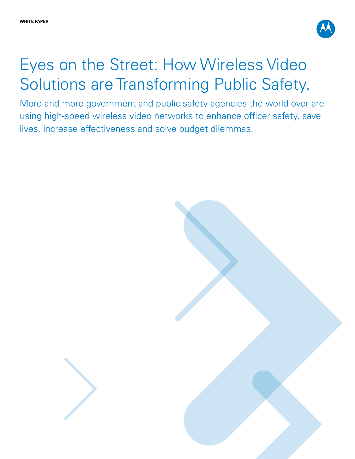

# Eyes on the Street: How Wireless Video Solutions are Transforming Public Safety.

More and more government and public safety agencies the world-over are using high-speed wireless video networks to enhance officer safety, save lives, increase effectiveness and solve budget dilemmas.

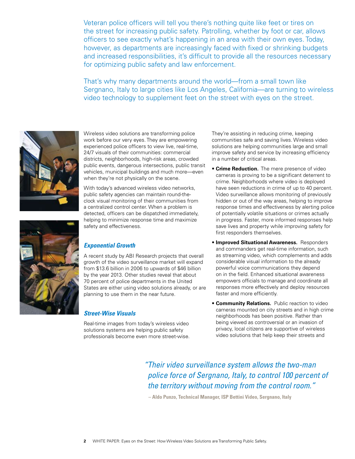Veteran police officers will tell you there's nothing quite like feet or tires on the street for increasing public safety. Patrolling, whether by foot or car, allows officers to see exactly what's happening in an area with their own eyes. Today, however, as departments are increasingly faced with fixed or shrinking budgets and increased responsibilities, it's difficult to provide all the resources necessary for optimizing public safety and law enforcement.

That's why many departments around the world—from a small town like Sergnano, Italy to large cities like Los Angeles, California—are turning to wireless video technology to supplement feet on the street with eyes on the street.



Wireless video solutions are transforming police work before our very eyes. They are empowering experienced police officers to view live, real-time, 24/7 visuals of their communities: commercial districts, neighborhoods, high-risk areas, crowded public events, dangerous intersections, public transit vehicles, municipal buildings and much more—even when they're not physically on the scene.

With today's advanced wireless video networks, public safety agencies can maintain round-theclock visual monitoring of their communities from a centralized control center. When a problem is detected, officers can be dispatched immediately, helping to minimize response time and maximize safety and effectiveness.

# *Exponential Growth*

A recent study by ABI Research projects that overall growth of the video surveillance market will expand from \$13.6 billion in 2006 to upwards of \$46 billion by the year 2013. Other studies reveal that about 70 percent of police departments in the United States are either using video solutions already, or are planning to use them in the near future.

#### *Street-Wise Visuals*

Real-time images from today's wireless video solutions systems are helping public safety professionals become even more street-wise. They're assisting in reducing crime, keeping communities safe and saving lives. Wireless video solutions are helping communities large and small improve safety and service by increasing efficiency in a number of critical areas.

- **Crime Reduction.** The mere presence of video cameras is proving to be a significant deterrent to crime. Neighborhoods where video is deployed have seen reductions in crime of up to 40 percent. Video surveillance allows monitoring of previously hidden or out of the way areas, helping to improve response times and effectiveness by alerting police of potentially volatile situations or crimes actually in progress. Faster, more informed responses help save lives and property while improving safety for first responders themselves.
- **Improved Situational Awareness.** Responders and commanders get real-time information, such as streaming video, which complements and adds considerable visual information to the already powerful voice communications they depend on in the field. Enhanced situational awareness empowers officials to manage and coordinate all responses more effectively and deploy resources faster and more efficiently.
- **Community Relations.** Public reaction to video cameras mounted on city streets and in high crime neighborhoods has been positive. Rather than being viewed as controversial or an invasion of privacy, local citizens are supportive of wireless video solutions that help keep their streets and

*"Their video surveillance system allows the two-man police force of Sergnano, Italy, to control 100 percent of the territory without moving from the control room."*

 **– Aldo Punzo, Technical Manager, ISP Bettini Video, Sergnano, Italy**

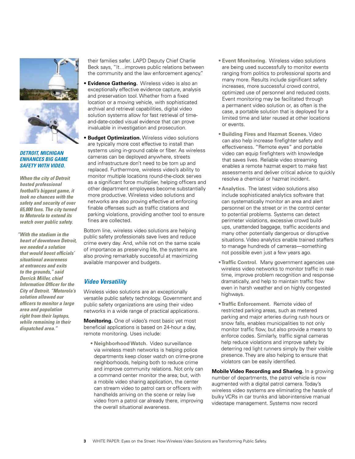

#### *DETROIT, MICHIGAN ENHANCES BIG GAME SAFETY WITH VIDEO.*

*When the city of Detroit hosted professional football's biggest game, it took no chances with the safety and security of over 65,000 fans. The city turned to Motorola to extend its watch over public safety.* 

*"With the stadium in the heart of downtown Detroit, we needed a solution that would boost officials' situational awareness at entrances and exits to the grounds," said Derrick Miller, chief Information Officer for the City of Detroit. "Motorola's solution allowed our officers to monitor a large area and population right from their laptops, while remaining in their dispatched area."* 

their families safer. LAPD Deputy Chief Charlie Beck says, "It…improves public relations between the community and the law enforcement agency."

- **Evidence Gathering.** Wireless video is also an exceptionally effective evidence capture, analysis and preservation tool. Whether from a fixed location or a moving vehicle, with sophisticated archival and retrieval capabilities, digital video solution systems allow for fast retrieval of timeand-date-coded visual evidence that can prove invaluable in investigation and prosecution.
- **Budget Optimization.** Wireless video solutions are typically more cost effective to install than systems using in-ground cable or fiber. As wireless cameras can be deployed anywhere, streets and infrastructure don't need to be torn up and replaced. Furthermore, wireless video's ability to monitor multiple locations round-the-clock serves as a significant force multiplier, helping officers and other department employees become substantially more productive. Wireless video solutions and networks are also proving effective at enforcing finable offenses such as traffic citations and parking violations, providing another tool to ensure fines are collected.

Bottom line, wireless video solutions are helping public safety professionals save lives and reduce crime every day. And, while not on the same scale of importance as preserving life, the systems are also proving remarkably successful at maximizing available manpower and budgets.

## *Video Versatility*

Wireless video solutions are an exceptionally versatile public safety technology. Government and public safety organizations are using their video networks in a wide range of practical applications.

**Monitoring.** One of video's most basic yet most beneficial applications is based on 24-hour a day, remote monitoring. Uses include:

 **• NeighborhoodWatch.** Video surveillance via wireless mesh networks is helping police departments keep closer watch on crime-prone neighborhoods, helping both to reduce crime and improve community relations. Not only can a command center monitor the area; but, with a mobile video sharing application, the center can stream video to patrol cars or officers with handhelds arriving on the scene or relay live video from a patrol car already there, improving the overall situational awareness.

- **Event Monitoring.** Wireless video solutions are being used successfully to monitor events ranging from politics to professional sports and many more. Results include significant safety increases, more successful crowd control, optimized use of personnel and reduced costs. Event monitoring may be facilitated through a permanent video solution or, as often is the case, a portable solution that is deployed for a limited time and later reused at other locations or events.
- **Building Fires and Hazmat Scenes.** Video can also help increase firefighter safety and effectiveness. "Remote eyes" and portable video can equip firefighters with knowledge that saves lives. Reliable video streaming enables a remote hazmat expert to make fast assessments and deliver critical advice to quickly resolve a chemical or hazmat incident.
- **Analytics.** The latest video solutions also include sophisticated analytics software that can systematically monitor an area and alert personnel on the street or in the control center to potential problems. Systems can detect perimeter violations, excessive crowd buildups, unattended baggage, traffic accidents and many other potentially dangerous or disruptive situations. Video analytics enable trained staffers to manage hundreds of cameras—something not possible even just a few years ago.
- **Traffic Control.** Many government agencies use wireless video networks to monitor traffic in realtime, improve problem recognition and response dramatically, and help to maintain traffic flow even in harsh weather and on highly congested highways.
- **Traffic Enforcement.** Remote video of restricted parking areas, such as metered parking and major arteries during rush hours or snow falls, enables municipalities to not only monitor traffic flow, but also provide a means to enforce codes. Similarly, traffic signal cameras help reduce violations and improve safety by deterring red light runners simply by their visible presence. They are also helping to ensure that violators can be easily identified.

**Mobile Video Recording and Sharing.** In a growing number of departments, the patrol vehicle is now augmented with a digital patrol camera. Today's wireless video systems are eliminating the hassle of bulky VCRs in car trunks and labor-intensive manual videotape management. Systems now record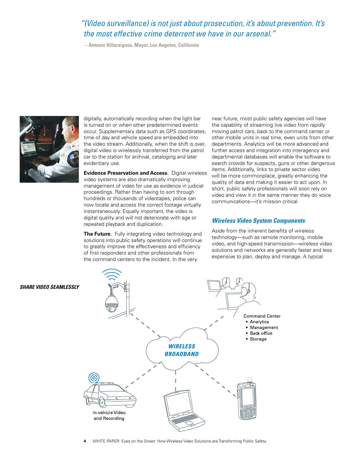# *"(Video surveillance) is not just about prosecution, it's about prevention. It's the most effective crime deterrent we have in our arsenal."*

 **– Antonio Villaraigosa, Mayor, Los Angeles, California**



digitally, automatically recording when the light bar is turned on or when other predetermined events occur. Supplementary data such as GPS coordinates, time of day and vehicle speed are embedded into the video stream. Additionally, when the shift is over, digital video is wirelessly transferred from the patrol car to the station for archival, cataloging and later evidentiary use.

**Evidence Preservation and Access.** Digital wireless video systems are also dramatically improving management of video for use as evidence in judicial proceedings. Rather than having to sort through hundreds or thousands of videotapes, police can now locate and access the correct footage virtually instantaneously. Equally important, the video is digital quality and will not deteriorate with age or repeated playback and duplication.

**The Future.** Fully integrating video technology and solutions into public safety operations will continue to greatly improve the effectiveness and efficiency of first responders and other professionals from the command centers to the incident. In the very

near future, most public safety agencies will have the capability of streaming live video from rapidly moving patrol cars, back to the command center or other mobile units in real time, even units from other departments. Analytics will be more advanced and further access and integration into interagency and departmental databases will enable the software to search crowds for suspects, guns or other dangerous items. Additionally, links to private sector video will be more commonplace, greatly enhancing the quality of data and making it easier to act upon. In short, public safety professionals will soon rely on video and view it in the same manner they do voice communications—it's mission critical.

### *Wireless Video System Components*

Aside from the inherent benefits of wireless technology—such as remote monitoring, mobile video, and high-speed transmission—wireless video solutions and networks are generally faster and less expensive to plan, deploy and manage. A typical



*Share Video Seamlessly*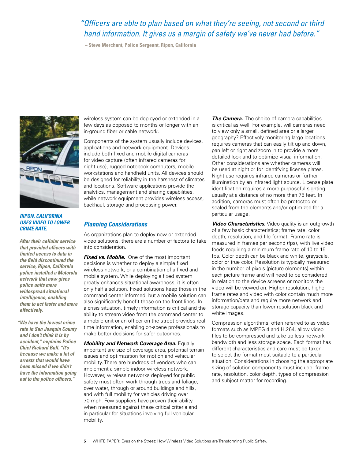# *"Officers are able to plan based on what they're seeing, not second or third hand information. It gives us a margin of safety we've never had before."*

 **– Steve Merchant, Police Sergeant, Ripon, California**



#### *RIPON, CALIFORNIA USES VIDEO TO LOWER CRIME RATE.*

*After their cellular service that provided officers with limited access to data in the field discontinued the service, Ripon, California police installed a Motorola network that now gives police units more widespread situational intelligence, enabling them to act faster and more effectively.* 

*"We have the lowest crime rate in San Joaquin County and I don't think it is by accident," explains Police Chief Richard Bull. "It's because we make a lot of arrests that would have been missed if we didn't have the information going out to the police officers."*

wireless system can be deployed or extended in a few days as opposed to months or longer with an in-ground fiber or cable network.

Components of the system usually include devices, applications and network equipment. Devices include both fixed and mobile digital cameras for video capture (often infrared cameras for night use), rugged notebook computers, mobile workstations and handheld units. All devices should be designed for reliability in the harshest of climates and locations. Software applications provide the analytics, management and sharing capabilities, while network equipment provides wireless access, backhaul, storage and processing power.

## *Planning Considerations*

As organizations plan to deploy new or extended video solutions, there are a number of factors to take into consideration.

*Fixed vs. Mobile.* One of the most important decisions is whether to deploy a simple fixed wireless network, or a combination of a fixed and mobile system. While deploying a fixed system greatly enhances situational awareness, it is often only half a solution. Fixed solutions keep those in the command center informed, but a mobile solution can also significantly benefit those on the front lines. In a crisis situation, timely information is critical and the ability to stream video from the command center to a mobile unit or an officer on the street provides realtime information, enabling on-scene professionals to make better decisions for safer outcomes.

*Mobility and Network Coverage Area.* Equally important are size of coverage area, potential terrain issues and optimization for motion and vehicular mobility. There are hundreds of vendors who can implement a simple indoor wireless network. However, wireless networks deployed for public safety must often work through trees and foliage, over water, through or around buildings and hills, and with full mobility for vehicles driving over 70 mph. Few suppliers have proven their ability when measured against these critical criteria and in particular for situations involving full vehicular mobility.

**The Camera.** The choice of camera capabilities is critical as well. For example, will cameras need to view only a small, defined area or a larger geography? Effectively monitoring large locations requires cameras that can easily tilt up and down, pan left or right and zoom in to provide a more detailed look and to optimize visual information. Other considerations are whether cameras will be used at night or for identifying license plates. Night use requires infrared cameras or further illumination by an infrared light source. License plate identification requires a more purposeful sighting usually at a distance of no more than 75 feet. In addition, cameras must often be protected or sealed from the elements and/or optimized for a particular usage.

*Video Characteristics.* Video quality is an outgrowth of a few basic characteristics; frame rate, color depth, resolution, and file format. Frame rate is measured in frames per second (fps), with live video feeds requiring a minimum frame rate of 10 to 15 fps. Color depth can be black and white, grayscale, color or true color. Resolution is typically measured in the number of pixels (picture elements) within each picture frame and will need to be considered in relation to the device screens or monitors the video will be viewed on. Higher resolution, higher frame rates and video with color contain much more information/data and require more network and storage capacity than lower resolution black and white images.

Compression algorithms, often referred to as video formats such as MPEG 4 and H.264, allow video files to be compressed and take up less network bandwidth and less storage space. Each format has different characteristics and care must be taken to select the format most suitable to a particular situation. Considerations in choosing the appropriate sizing of solution components must include: frame rate, resolution, color depth, types of compression and subject matter for recording.